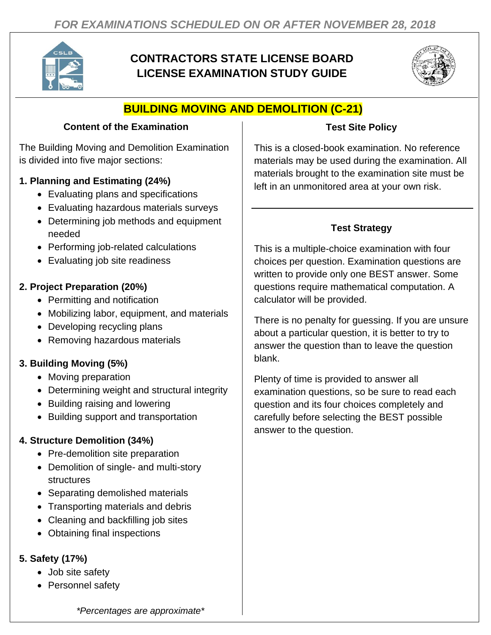

# **CONTRACTORS STATE LICENSE BOARD LICENSE EXAMINATION STUDY GUIDE**



# **BUILDING MOVING AND DEMOLITION (C-21)**

#### **Content of the Examination**

The Building Moving and Demolition Examination is divided into five major sections:

### **1. Planning and Estimating (24%)**

- Evaluating plans and specifications
- Evaluating hazardous materials surveys
- Determining job methods and equipment needed
- Performing job-related calculations
- Evaluating job site readiness

### **2. Project Preparation (20%)**

- Permitting and notification
- Mobilizing labor, equipment, and materials
- Developing recycling plans
- Removing hazardous materials

# **3. Building Moving (5%)**

- Moving preparation
- Determining weight and structural integrity
- Building raising and lowering
- Building support and transportation

# **4. Structure Demolition (34%)**

- Pre-demolition site preparation
- Demolition of single- and multi-story structures
- Separating demolished materials
- Transporting materials and debris
- Cleaning and backfilling job sites
- Obtaining final inspections

# **5. Safety (17%)**

- Job site safety
- Personnel safety

### **Test Site Policy**

This is a closed-book examination. No reference materials may be used during the examination. All materials brought to the examination site must be left in an unmonitored area at your own risk.

# **Test Strategy**

This is a multiple-choice examination with four choices per question. Examination questions are written to provide only one BEST answer. Some questions require mathematical computation. A calculator will be provided.

There is no penalty for guessing. If you are unsure about a particular question, it is better to try to answer the question than to leave the question blank.

Plenty of time is provided to answer all examination questions, so be sure to read each question and its four choices completely and carefully before selecting the BEST possible answer to the question.

*\*Percentages are approximate\**